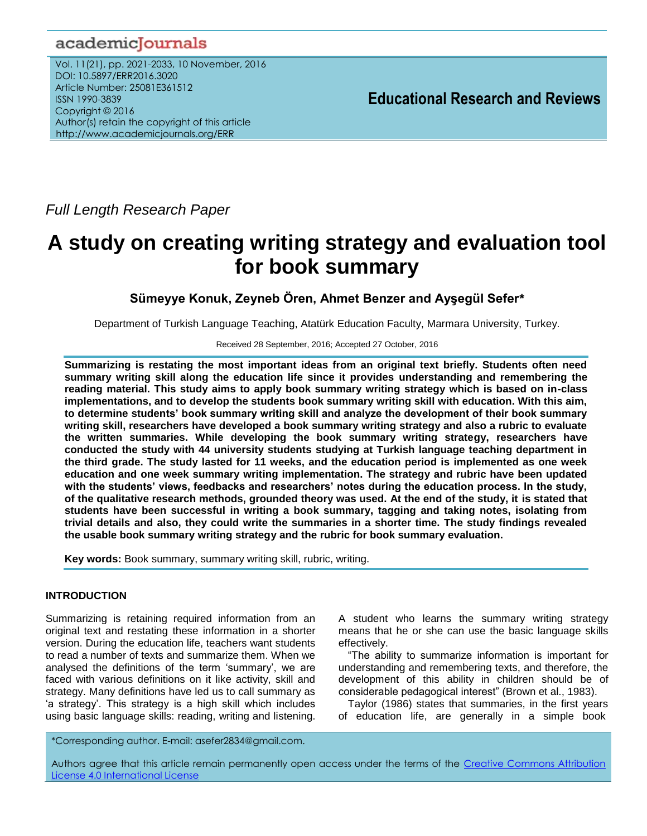# academicJournals

Vol. 11(21), pp. 2021-2033, 10 November, 2016 DOI: 10.5897/ERR2016.3020 Article Number: 25081E361512 ISSN 1990-3839 Copyright © 2016 Author(s) retain the copyright of this article http://www.academicjournals.org/ERR

*Full Length Research Paper*

# **A study on creating writing strategy and evaluation tool for book summary**

**Sümeyye Konuk, Zeyneb Ören, Ahmet Benzer and Ayşegül Sefer\***

Department of Turkish Language Teaching, Atatürk Education Faculty, Marmara University, Turkey.

Received 28 September, 2016; Accepted 27 October, 2016

**Summarizing is restating the most important ideas from an original text briefly. Students often need summary writing skill along the education life since it provides understanding and remembering the reading material. This study aims to apply book summary writing strategy which is based on in-class implementations, and to develop the students book summary writing skill with education. With this aim, to determine students' book summary writing skill and analyze the development of their book summary writing skill, researchers have developed a book summary writing strategy and also a rubric to evaluate the written summaries. While developing the book summary writing strategy, researchers have conducted the study with 44 university students studying at Turkish language teaching department in the third grade. The study lasted for 11 weeks, and the education period is implemented as one week education and one week summary writing implementation. The strategy and rubric have been updated with the students' views, feedbacks and researchers' notes during the education process. In the study, of the qualitative research methods, grounded theory was used. At the end of the study, it is stated that students have been successful in writing a book summary, tagging and taking notes, isolating from trivial details and also, they could write the summaries in a shorter time. The study findings revealed the usable book summary writing strategy and the rubric for book summary evaluation.**

**Key words:** Book summary, summary writing skill, rubric, writing.

# **INTRODUCTION**

Summarizing is retaining required information from an original text and restating these information in a shorter version. During the education life, teachers want students to read a number of texts and summarize them. When we analysed the definitions of the term 'summary', we are faced with various definitions on it like activity, skill and strategy. Many definitions have led us to call summary as 'a strategy'. This strategy is a high skill which includes using basic language skills: reading, writing and listening. A student who learns the summary writing strategy means that he or she can use the basic language skills effectively.

"The ability to summarize information is important for understanding and remembering texts, and therefore, the development of this ability in children should be of considerable pedagogical interest" (Brown et al., 1983).

Taylor (1986) states that summaries, in the first years of education life, are generally in a simple book

\*Corresponding author. E-mail: asefer2834@gmail.com.

Authors agree that this article remain permanently open access under the terms of the Creative Commons Attribution [License 4.0 International License](file://192.168.1.24/reading/Arts%20and%20Education/ERR/2014/sept/read/Correction%20Pdf%201/ERR-17.04.14-1816/Publication/Creative%20Co)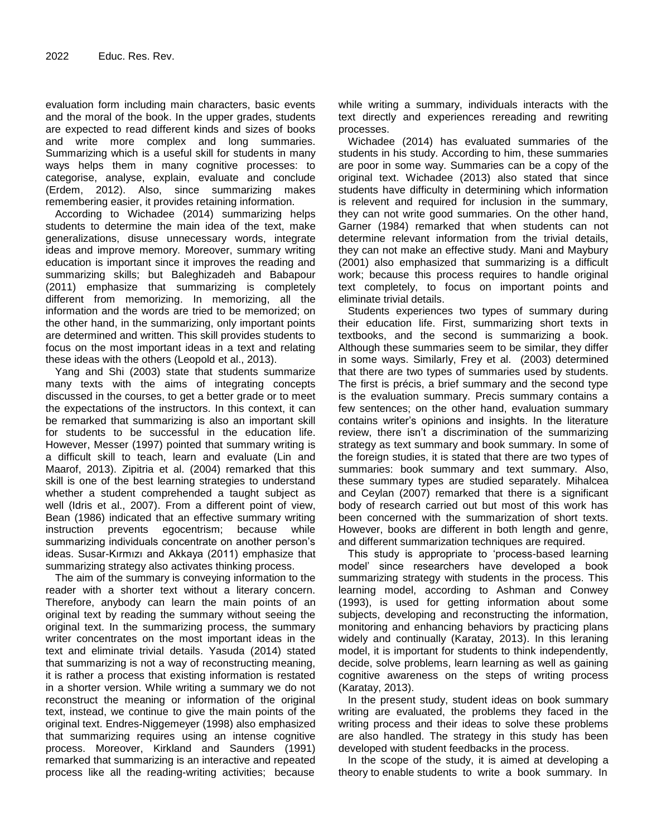evaluation form including main characters, basic events and the moral of the book. In the upper grades, students are expected to read different kinds and sizes of books and write more complex and long summaries. Summarizing which is a useful skill for students in many ways helps them in many cognitive processes: to categorise, analyse, explain, evaluate and conclude (Erdem, 2012). Also, since summarizing makes remembering easier, it provides retaining information.

According to Wichadee (2014) summarizing helps students to determine the main idea of the text, make generalizations, disuse unnecessary words, integrate ideas and improve memory. Moreover, summary writing education is important since it improves the reading and summarizing skills; but Baleghizadeh and Babapour (2011) emphasize that summarizing is completely different from memorizing. In memorizing, all the information and the words are tried to be memorized; on the other hand, in the summarizing, only important points are determined and written. This skill provides students to focus on the most important ideas in a text and relating these ideas with the others (Leopold et al., 2013).

Yang and Shi (2003) state that students summarize many texts with the aims of integrating concepts discussed in the courses, to get a better grade or to meet the expectations of the instructors. In this context, it can be remarked that summarizing is also an important skill for students to be successful in the education life. However, Messer (1997) pointed that summary writing is a difficult skill to teach, learn and evaluate (Lin and Maarof, 2013). Zipitria et al. (2004) remarked that this skill is one of the best learning strategies to understand whether a student comprehended a taught subject as well (Idris et al., 2007). From a different point of view, Bean (1986) indicated that an effective summary writing instruction prevents egocentrism; because while summarizing individuals concentrate on another person's ideas. Susar-Kırmızı and Akkaya (2011) emphasize that summarizing strategy also activates thinking process.

The aim of the summary is conveying information to the reader with a shorter text without a literary concern. Therefore, anybody can learn the main points of an original text by reading the summary without seeing the original text. In the summarizing process, the summary writer concentrates on the most important ideas in the text and eliminate trivial details. Yasuda (2014) stated that summarizing is not a way of reconstructing meaning, it is rather a process that existing information is restated in a shorter version. While writing a summary we do not reconstruct the meaning or information of the original text, instead, we continue to give the main points of the original text. Endres-Niggemeyer (1998) also emphasized that summarizing requires using an intense cognitive process. Moreover, Kirkland and Saunders (1991) remarked that summarizing is an interactive and repeated process like all the reading-writing activities; because

while writing a summary, individuals interacts with the text directly and experiences rereading and rewriting processes.

Wichadee (2014) has evaluated summaries of the students in his study. According to him, these summaries are poor in some way. Summaries can be a copy of the original text. Wichadee (2013) also stated that since students have difficulty in determining which information is relevent and required for inclusion in the summary, they can not write good summaries. On the other hand, Garner (1984) remarked that when students can not determine relevant information from the trivial details, they can not make an effective study. Mani and Maybury (2001) also emphasized that summarizing is a difficult work; because this process requires to handle original text completely, to focus on important points and eliminate trivial details.

Students experiences two types of summary during their education life. First, summarizing short texts in textbooks, and the second is summarizing a book. Although these summaries seem to be similar, they differ in some ways. Similarly, Frey et al. (2003) determined that there are two types of summaries used by students. The first is précis, a brief summary and the second type is the evaluation summary. Precis summary contains a few sentences; on the other hand, evaluation summary contains writer"s opinions and insights. In the literature review, there isn"t a discrimination of the summarizing strategy as text summary and book summary. In some of the foreign studies, it is stated that there are two types of summaries: book summary and text summary. Also, these summary types are studied separately. Mihalcea and Ceylan (2007) remarked that there is a significant body of research carried out but most of this work has been concerned with the summarization of short texts. However, books are different in both length and genre, and different summarization techniques are required.

This study is appropriate to "process-based learning model" since researchers have developed a book summarizing strategy with students in the process. This learning model, according to Ashman and Conwey (1993), is used for getting information about some subjects, developing and reconstructing the information, monitoring and enhancing behaviors by practicing plans widely and continually (Karatay, 2013). In this leraning model, it is important for students to think independently, decide, solve problems, learn learning as well as gaining cognitive awareness on the steps of writing process (Karatay, 2013).

In the present study, student ideas on book summary writing are evaluated, the problems they faced in the writing process and their ideas to solve these problems are also handled. The strategy in this study has been developed with student feedbacks in the process.

In the scope of the study, it is aimed at developing a theory to enable students to write a book summary. In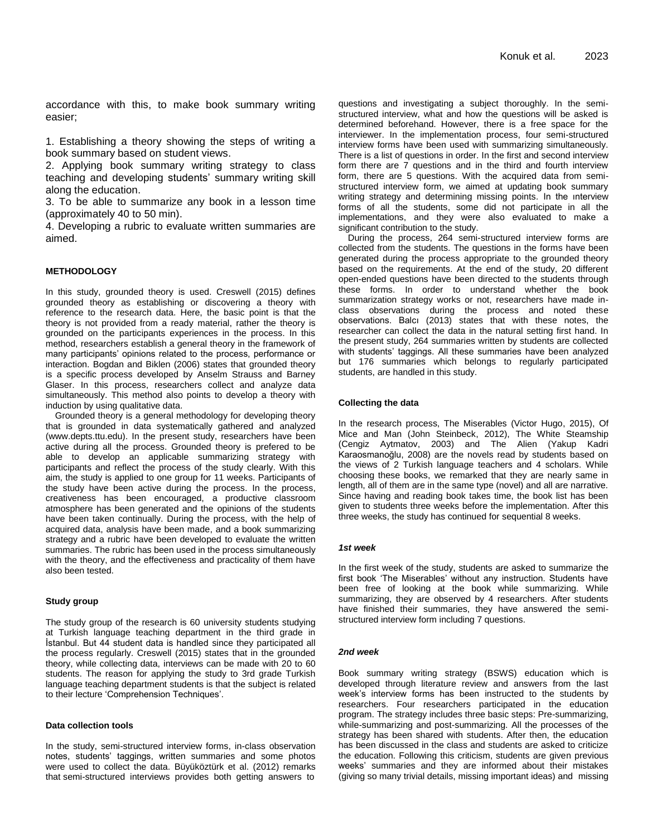accordance with this, to make book summary writing easier;

1. Establishing a theory showing the steps of writing a book summary based on student views.

2. Applying book summary writing strategy to class teaching and developing students' summary writing skill along the education.

3. To be able to summarize any book in a lesson time (approximately 40 to 50 min).

4. Developing a rubric to evaluate written summaries are aimed.

#### **METHODOLOGY**

In this study, grounded theory is used. Creswell (2015) defines grounded theory as establishing or discovering a theory with reference to the research data. Here, the basic point is that the theory is not provided from a ready material, rather the theory is grounded on the participants experiences in the process. In this method, researchers establish a general theory in the framework of many participants" opinions related to the process, performance or interaction. Bogdan and Biklen (2006) states that grounded theory is a specific process developed by Anselm Strauss and Barney Glaser. In this process, researchers collect and analyze data simultaneously. This method also points to develop a theory with induction by using qualitative data.

Grounded theory is a general methodology for developing theory that is grounded in data systematically gathered and analyzed (www.depts.ttu.edu). In the present study, researchers have been active during all the process. Grounded theory is prefered to be able to develop an applicable summarizing strategy with participants and reflect the process of the study clearly. With this aim, the study is applied to one group for 11 weeks. Participants of the study have been active during the process. In the process, creativeness has been encouraged, a productive classroom atmosphere has been generated and the opinions of the students have been taken continually. During the process, with the help of acquired data, analysis have been made, and a book summarizing strategy and a rubric have been developed to evaluate the written summaries. The rubric has been used in the process simultaneously with the theory, and the effectiveness and practicality of them have also been tested.

#### **Study group**

The study group of the research is 60 university students studying at Turkish language teaching department in the third grade in İstanbul. But 44 student data is handled since they participated all the process regularly. Creswell (2015) states that in the grounded theory, while collecting data, interviews can be made with 20 to 60 students. The reason for applying the study to 3rd grade Turkish language teaching department students is that the subject is related to their lecture "Comprehension Techniques".

#### **Data collection tools**

In the study, semi-structured interview forms, in-class observation notes, students" taggings, written summaries and some photos were used to collect the data. Büyüköztürk et al. (2012) remarks that semi-structured interviews provides both getting answers to

questions and investigating a subject thoroughly. In the semistructured interview, what and how the questions will be asked is determined beforehand. However, there is a free space for the interviewer. In the implementation process, four semi-structured interview forms have been used with summarizing simultaneously. There is a list of questions in order. In the first and second interview form there are 7 questions and in the third and fourth interview form, there are 5 questions. With the acquired data from semistructured interview form, we aimed at updating book summary writing strategy and determining missing points. In the ınterview forms of all the students, some did not participate in all the implementations, and they were also evaluated to make a significant contribution to the study.

During the process, 264 semi-structured interview forms are collected from the students. The questions in the forms have been generated during the process appropriate to the grounded theory based on the requirements. At the end of the study, 20 different open-ended questions have been directed to the students through these forms. In order to understand whether the book summarization strategy works or not, researchers have made inclass observations during the process and noted these observations. Balcı (2013) states that with these notes, the researcher can collect the data in the natural setting first hand. In the present study, 264 summaries written by students are collected with students' taggings. All these summaries have been analyzed but 176 summaries which belongs to regularly participated students, are handled in this study.

#### **Collecting the data**

In the research process, The Miserables (Victor Hugo, 2015), Of Mice and Man (John Steinbeck, 2012), The White Steamship (Cengiz Aytmatov, 2003) and The Alien (Yakup Kadri Karaosmanoğlu, 2008) are the novels read by students based on the views of 2 Turkish language teachers and 4 scholars. While choosing these books, we remarked that they are nearly same in length, all of them are in the same type (novel) and all are narrative. Since having and reading book takes time, the book list has been given to students three weeks before the implementation. After this three weeks, the study has continued for sequential 8 weeks.

#### *1st week*

In the first week of the study, students are asked to summarize the first book 'The Miserables' without any instruction. Students have been free of looking at the book while summarizing. While summarizing, they are observed by 4 researchers. After students have finished their summaries, they have answered the semistructured interview form including 7 questions.

#### *2nd week*

Book summary writing strategy (BSWS) education which is developed through literature review and answers from the last week"s interview forms has been instructed to the students by researchers. Four researchers participated in the education program. The strategy includes three basic steps: Pre-summarizing, while-summarizing and post-summarizing. All the processes of the strategy has been shared with students. After then, the education has been discussed in the class and students are asked to criticize the education. Following this criticism, students are given previous weeks" summaries and they are informed about their mistakes (giving so many trivial details, missing important ideas) and missing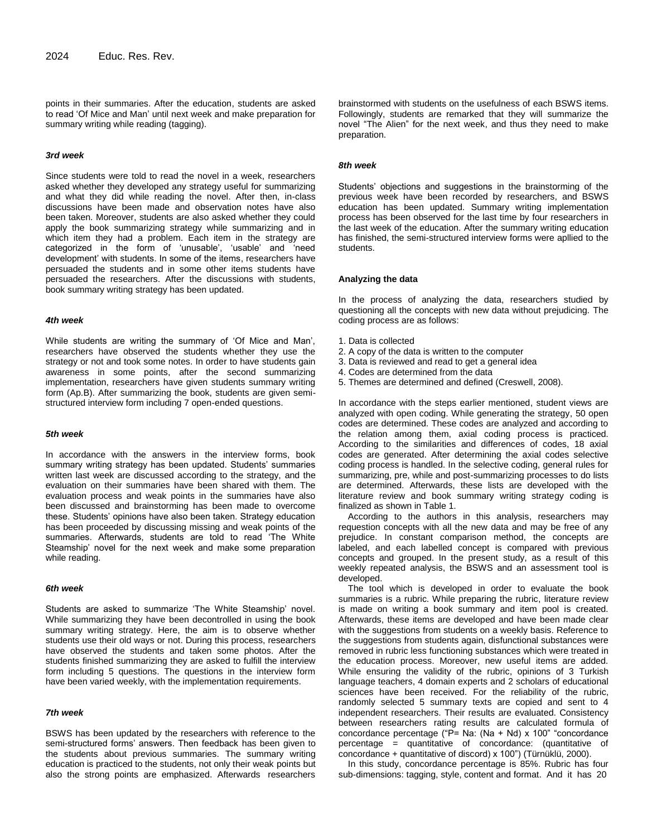points in their summaries. After the education, students are asked to read "Of Mice and Man" until next week and make preparation for summary writing while reading (tagging).

#### *3rd week*

Since students were told to read the novel in a week, researchers asked whether they developed any strategy useful for summarizing and what they did while reading the novel. After then, in-class discussions have been made and observation notes have also been taken. Moreover, students are also asked whether they could apply the book summarizing strategy while summarizing and in which item they had a problem. Each item in the strategy are categorized in the form of "unusable", "usable" and "need development' with students. In some of the items, researchers have persuaded the students and in some other items students have persuaded the researchers. After the discussions with students, book summary writing strategy has been updated.

#### *4th week*

While students are writing the summary of "Of Mice and Man", researchers have observed the students whether they use the strategy or not and took some notes. In order to have students gain awareness in some points, after the second summarizing implementation, researchers have given students summary writing form (Ap.B). After summarizing the book, students are given semistructured interview form including 7 open-ended questions.

#### *5th week*

In accordance with the answers in the interview forms, book summary writing strategy has been updated. Students' summaries written last week are discussed according to the strategy, and the evaluation on their summaries have been shared with them. The evaluation process and weak points in the summaries have also been discussed and brainstorming has been made to overcome these. Students" opinions have also been taken. Strategy education has been proceeded by discussing missing and weak points of the summaries. Afterwards, students are told to read "The White Steamship' novel for the next week and make some preparation while reading.

#### *6th week*

Students are asked to summarize 'The White Steamship' novel. While summarizing they have been decontrolled in using the book summary writing strategy. Here, the aim is to observe whether students use their old ways or not. During this process, researchers have observed the students and taken some photos. After the students finished summarizing they are asked to fulfill the interview form including 5 questions. The questions in the interview form have been varied weekly, with the implementation requirements.

#### *7th week*

BSWS has been updated by the researchers with reference to the semi-structured forms' answers. Then feedback has been given to the students about previous summaries. The summary writing education is practiced to the students, not only their weak points but also the strong points are emphasized. Afterwards researchers

brainstormed with students on the usefulness of each BSWS items. Followingly, students are remarked that they will summarize the novel "The Alien" for the next week, and thus they need to make preparation.

#### *8th week*

Students' objections and suggestions in the brainstorming of the previous week have been recorded by researchers, and BSWS education has been updated. Summary writing implementation process has been observed for the last time by four researchers in the last week of the education. After the summary writing education has finished, the semi-structured interview forms were apllied to the students.

#### **Analyzing the data**

In the process of analyzing the data, researchers studied by questioning all the concepts with new data without prejudicing. The coding process are as follows:

- 1. Data is collected
- 2. A copy of the data is written to the computer
- 3. Data is reviewed and read to get a general idea
- 4. Codes are determined from the data
- 5. Themes are determined and defined (Creswell, 2008).

In accordance with the steps earlier mentioned, student views are analyzed with open coding. While generating the strategy, 50 open codes are determined. These codes are analyzed and according to the relation among them, axial coding process is practiced. According to the similarities and differences of codes, 18 axial codes are generated. After determining the axial codes selective coding process is handled. In the selective coding, general rules for summarizing, pre, while and post-summarizing processes to do lists are determined. Afterwards, these lists are developed with the literature review and book summary writing strategy coding is finalized as shown in Table 1.

According to the authors in this analysis, researchers may requestion concepts with all the new data and may be free of any prejudice. In constant comparison method, the concepts are labeled, and each labelled concept is compared with previous concepts and grouped. In the present study, as a result of this weekly repeated analysis, the BSWS and an assessment tool is developed.

The tool which is developed in order to evaluate the book summaries is a rubric. While preparing the rubric, literature review is made on writing a book summary and item pool is created. Afterwards, these items are developed and have been made clear with the suggestions from students on a weekly basis. Reference to the suggestions from students again, disfunctional substances were removed in rubric less functioning substances which were treated in the education process. Moreover, new useful items are added. While ensuring the validity of the rubric, opinions of 3 Turkish language teachers, 4 domain experts and 2 scholars of educational sciences have been received. For the reliability of the rubric, randomly selected 5 summary texts are copied and sent to 4 independent researchers. Their results are evaluated. Consistency between researchers rating results are calculated formula of concordance percentage ("P= Na: (Na + Nd) x 100" "concordance percentage = quantitative of concordance: (quantitative of concordance + quantitative of discord) x 100") (Türnüklü, 2000).

In this study, concordance percentage is 85%. Rubric has four sub-dimensions: tagging, style, content and format. And it has 20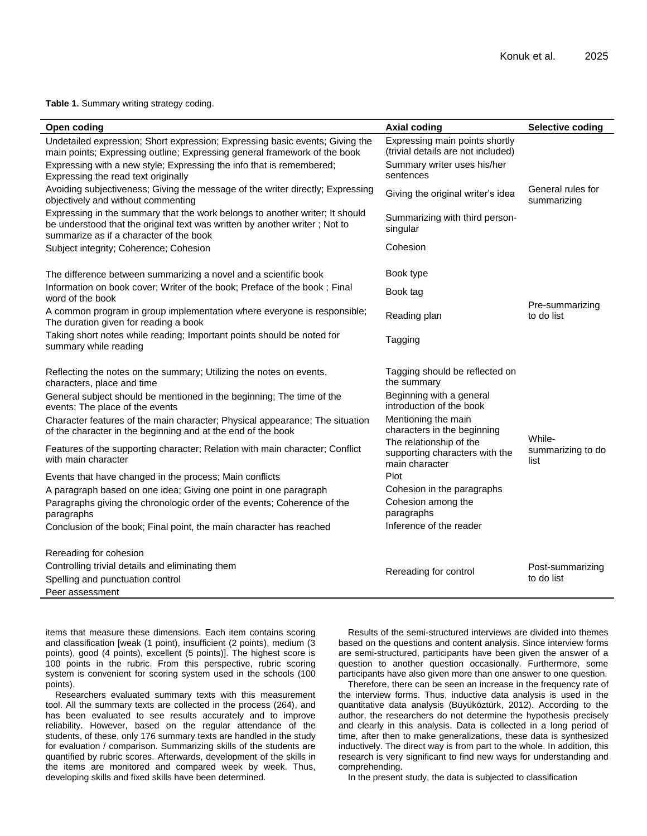#### **Table 1.** Summary writing strategy coding.

| Open coding                                                                                                                                                                                           | <b>Axial coding</b>                                                         | <b>Selective coding</b>          |
|-------------------------------------------------------------------------------------------------------------------------------------------------------------------------------------------------------|-----------------------------------------------------------------------------|----------------------------------|
| Undetailed expression; Short expression; Expressing basic events; Giving the<br>main points; Expressing outline; Expressing general framework of the book                                             | Expressing main points shortly<br>(trivial details are not included)        |                                  |
| Expressing with a new style; Expressing the info that is remembered;<br>Expressing the read text originally                                                                                           | Summary writer uses his/her<br>sentences                                    |                                  |
| Avoiding subjectiveness; Giving the message of the writer directly; Expressing<br>objectively and without commenting                                                                                  | Giving the original writer's idea                                           | General rules for<br>summarizing |
| Expressing in the summary that the work belongs to another writer; It should<br>be understood that the original text was written by another writer; Not to<br>summarize as if a character of the book | Summarizing with third person-<br>singular                                  |                                  |
| Subject integrity; Coherence; Cohesion                                                                                                                                                                | Cohesion                                                                    |                                  |
| The difference between summarizing a novel and a scientific book                                                                                                                                      | Book type                                                                   |                                  |
| Information on book cover; Writer of the book; Preface of the book; Final<br>word of the book                                                                                                         | Book tag                                                                    |                                  |
| A common program in group implementation where everyone is responsible;<br>The duration given for reading a book                                                                                      | Reading plan                                                                | Pre-summarizing<br>to do list    |
| Taking short notes while reading; Important points should be noted for<br>summary while reading                                                                                                       | Tagging                                                                     |                                  |
| Reflecting the notes on the summary; Utilizing the notes on events,<br>characters, place and time                                                                                                     | Tagging should be reflected on<br>the summary                               |                                  |
| General subject should be mentioned in the beginning; The time of the<br>events; The place of the events                                                                                              | Beginning with a general<br>introduction of the book                        |                                  |
| Character features of the main character; Physical appearance; The situation<br>of the character in the beginning and at the end of the book                                                          | Mentioning the main<br>characters in the beginning                          | While-                           |
| Features of the supporting character; Relation with main character; Conflict<br>with main character                                                                                                   | The relationship of the<br>supporting characters with the<br>main character | summarizing to do<br>list        |
| Events that have changed in the process; Main conflicts                                                                                                                                               | Plot                                                                        |                                  |
| A paragraph based on one idea; Giving one point in one paragraph                                                                                                                                      | Cohesion in the paragraphs                                                  |                                  |
| Paragraphs giving the chronologic order of the events; Coherence of the<br>paragraphs                                                                                                                 | Cohesion among the<br>paragraphs                                            |                                  |
| Conclusion of the book; Final point, the main character has reached                                                                                                                                   | Inference of the reader                                                     |                                  |
| Rereading for cohesion                                                                                                                                                                                |                                                                             |                                  |
| Controlling trivial details and eliminating them                                                                                                                                                      | Rereading for control                                                       | Post-summarizing                 |
| Spelling and punctuation control                                                                                                                                                                      |                                                                             | to do list                       |
| Peer assessment                                                                                                                                                                                       |                                                                             |                                  |

items that measure these dimensions. Each item contains scoring and classification [weak (1 point), insufficient (2 points), medium (3 points), good (4 points), excellent (5 points)]. The highest score is 100 points in the rubric. From this perspective, rubric scoring system is convenient for scoring system used in the schools (100 points).

Researchers evaluated summary texts with this measurement tool. All the summary texts are collected in the process (264), and has been evaluated to see results accurately and to improve reliability. However, based on the regular attendance of the students, of these, only 176 summary texts are handled in the study for evaluation / comparison. Summarizing skills of the students are quantified by rubric scores. Afterwards, development of the skills in the items are monitored and compared week by week. Thus, developing skills and fixed skills have been determined.

Results of the semi-structured interviews are divided into themes based on the questions and content analysis. Since interview forms are semi-structured, participants have been given the answer of a question to another question occasionally. Furthermore, some participants have also given more than one answer to one question.

Therefore, there can be seen an increase in the frequency rate of the interview forms. Thus, inductive data analysis is used in the quantitative data analysis (Büyüköztürk, 2012). According to the author, the researchers do not determine the hypothesis precisely and clearly in this analysis. Data is collected in a long period of time, after then to make generalizations, these data is synthesized inductively. The direct way is from part to the whole. In addition, this research is very significant to find new ways for understanding and comprehending.

In the present study, the data is subjected to classification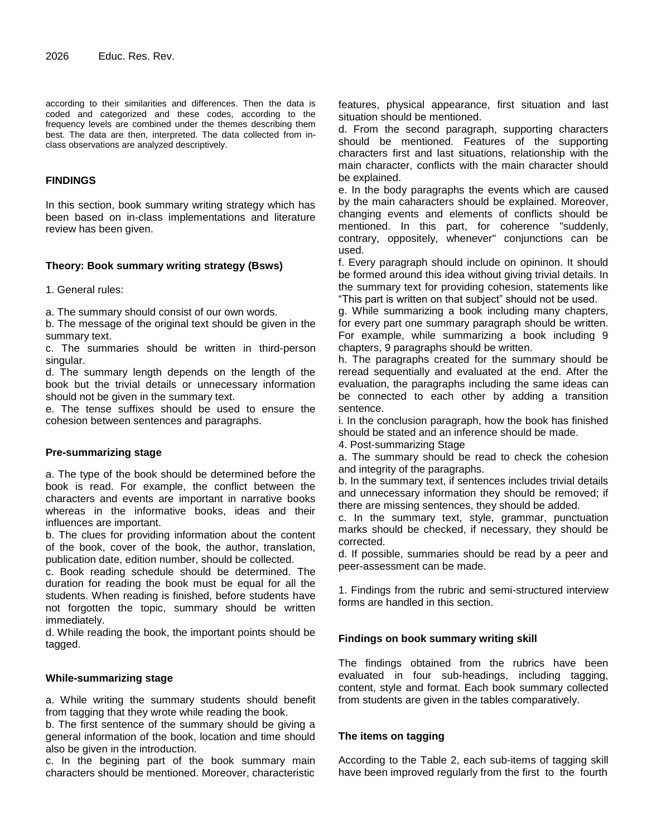according to their similarities and differences. Then the data is coded and categorized and these codes, according to the frequency levels are combined under the themes describing them best. The data are then, interpreted. The data collected from inclass observations are analyzed descriptively.

# **FINDINGS**

In this section, book summary writing strategy which has been based on in-class implementations and literature review has been given.

# **Theory: Book summary writing strategy (Bsws)**

1. General rules:

a. The summary should consist of our own words.

b. The message of the original text should be given in the summary text.

c. The summaries should be written in third-person singular.

d. The summary length depends on the length of the book but the trivial details or unnecessary information should not be given in the summary text.

e. The tense suffixes should be used to ensure the cohesion between sentences and paragraphs.

# **Pre-summarizing stage**

a. The type of the book should be determined before the book is read. For example, the conflict between the characters and events are important in narrative books whereas in the informative books, ideas and their influences are important.

b. The clues for providing information about the content of the book, cover of the book, the author, translation, publication date, edition number, should be collected.

c. Book reading schedule should be determined. The duration for reading the book must be equal for all the students. When reading is finished, before students have not forgotten the topic, summary should be written immediately.

d. While reading the book, the important points should be tagged.

# **While-summarizing stage**

a. While writing the summary students should benefit from tagging that they wrote while reading the book.

b. The first sentence of the summary should be giving a general information of the book, location and time should also be given in the introduction.

c. In the begining part of the book summary main characters should be mentioned. Moreover, characteristic features, physical appearance, first situation and last situation should be mentioned.

d. From the second paragraph, supporting characters should be mentioned. Features of the supporting characters first and last situations, relationship with the main character, conflicts with the main character should be explained.

e. In the body paragraphs the events which are caused by the main caharacters should be explained. Moreover, changing events and elements of conflicts should be mentioned. In this part, for coherence "suddenly, contrary, oppositely, whenever" conjunctions can be used.

f. Every paragraph should include on opininon. It should be formed around this idea without giving trivial details. In the summary text for providing cohesion, statements like "This part is written on that subject" should not be used.

g. While summarizing a book including many chapters, for every part one summary paragraph should be written. For example, while summarizing a book including 9 chapters, 9 paragraphs should be written.

h. The paragraphs created for the summary should be reread sequentially and evaluated at the end. After the evaluation, the paragraphs including the same ideas can be connected to each other by adding a transition sentence.

i. In the conclusion paragraph, how the book has finished should be stated and an inference should be made.

4. Post-summarizing Stage

a. The summary should be read to check the cohesion and integrity of the paragraphs.

b. In the summary text, if sentences includes trivial details and unnecessary information they should be removed; if there are missing sentences, they should be added.

c. In the summary text, style, grammar, punctuation marks should be checked, if necessary, they should be corrected.

d. If possible, summaries should be read by a peer and peer-assessment can be made.

1. Findings from the rubric and semi-structured interview forms are handled in this section.

# **Findings on book summary writing skill**

The findings obtained from the rubrics have been evaluated in four sub-headings, including tagging, content, style and format. Each book summary collected from students are given in the tables comparatively.

# **The items on tagging**

According to the Table 2, each sub-items of tagging skill have been improved regularly from the first to the fourth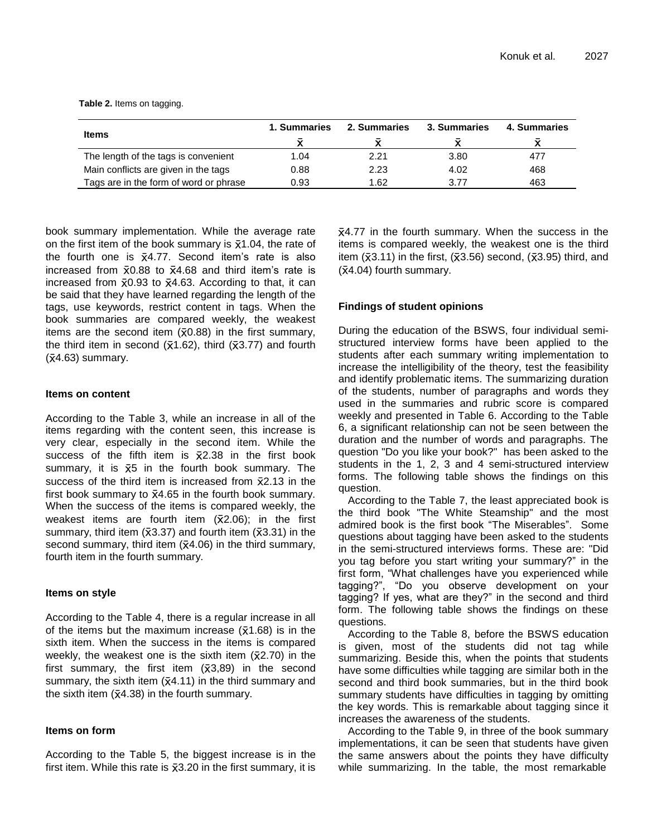|                                        | 1. Summaries | 2. Summaries | 3. Summaries | 4. Summaries |
|----------------------------------------|--------------|--------------|--------------|--------------|
| Items                                  |              |              |              |              |
| The length of the tags is convenient   | 1.04         | 2.21         | 3.80         | 477          |
| Main conflicts are given in the tags   | 0.88         | 2.23         | 4.02         | 468          |
| Tags are in the form of word or phrase | 0.93         | 1.62         | 3.77         | 463          |

**Table 2.** Items on tagging.

book summary implementation. While the average rate on the first item of the book summary is  $\bar{x}$ 1.04, the rate of the fourth one is  $\bar{x}$ 4.77. Second item's rate is also increased from  $\bar{x}0.88$  to  $\bar{x}4.68$  and third item's rate is increased from  $\bar{x}0.93$  to  $\bar{x}4.63$ . According to that, it can be said that they have learned regarding the length of the tags, use keywords, restrict content in tags. When the book summaries are compared weekly, the weakest items are the second item  $(\bar{x}0.88)$  in the first summary, the third item in second ( $\bar{x}$ 1.62), third ( $\bar{x}$ 3.77) and fourth  $({\overline{x}}4.63)$  summary.

# **Items on content**

According to the Table 3, while an increase in all of the items regarding with the content seen, this increase is very clear, especially in the second item. While the success of the fifth item is  $\bar{x}$ 2.38 in the first book summary, it is  $\bar{x}5$  in the fourth book summary. The success of the third item is increased from  $\bar{x}$ 2.13 in the first book summary to  $\bar{x}$ 4.65 in the fourth book summary. When the success of the items is compared weekly, the weakest items are fourth item  $(\bar{x}2.06)$ ; in the first summary, third item ( $\overline{x}3.37$ ) and fourth item ( $\overline{x}3.31$ ) in the second summary, third item  $(\bar{x}4.06)$  in the third summary, fourth item in the fourth summary.

# **Items on style**

According to the Table 4, there is a regular increase in all of the items but the maximum increase  $(\bar{x}1.68)$  is in the sixth item. When the success in the items is compared weekly, the weakest one is the sixth item  $(\bar{x}2.70)$  in the first summary, the first item  $(\bar{x}3,89)$  in the second summary, the sixth item  $(\bar{x}4.11)$  in the third summary and the sixth item  $(\bar{x}4.38)$  in the fourth summary.

# **Items on form**

According to the Table 5, the biggest increase is in the first item. While this rate is  $\bar{x}$ 3.20 in the first summary, it is 4.77 in the fourth summary. When the success in the items is compared weekly, the weakest one is the third item  $(\bar{x}3.11)$  in the first,  $(\bar{x}3.56)$  second,  $(\bar{x}3.95)$  third, and  $(\bar{x}4.04)$  fourth summary.

# **Findings of student opinions**

During the education of the BSWS, four individual semistructured interview forms have been applied to the students after each summary writing implementation to increase the intelligibility of the theory, test the feasibility and identify problematic items. The summarizing duration of the students, number of paragraphs and words they used in the summaries and rubric score is compared weekly and presented in Table 6. According to the Table 6, a significant relationship can not be seen between the duration and the number of words and paragraphs. The question "Do you like your book?" has been asked to the students in the 1, 2, 3 and 4 semi-structured interview forms. The following table shows the findings on this question.

According to the Table 7, the least appreciated book is the third book "The White Steamship" and the most admired book is the first book "The Miserables". Some questions about tagging have been asked to the students in the semi-structured interviews forms. These are: "Did you tag before you start writing your summary?" in the first form, "What challenges have you experienced while tagging?", "Do you observe development on your tagging? If yes, what are they?" in the second and third form. The following table shows the findings on these questions.

According to the Table 8, before the BSWS education is given, most of the students did not tag while summarizing. Beside this, when the points that students have some difficulties while tagging are similar both in the second and third book summaries, but in the third book summary students have difficulties in tagging by omitting the key words. This is remarkable about tagging since it increases the awareness of the students.

According to the Table 9, in three of the book summary implementations, it can be seen that students have given the same answers about the points they have difficulty while summarizing. In the table, the most remarkable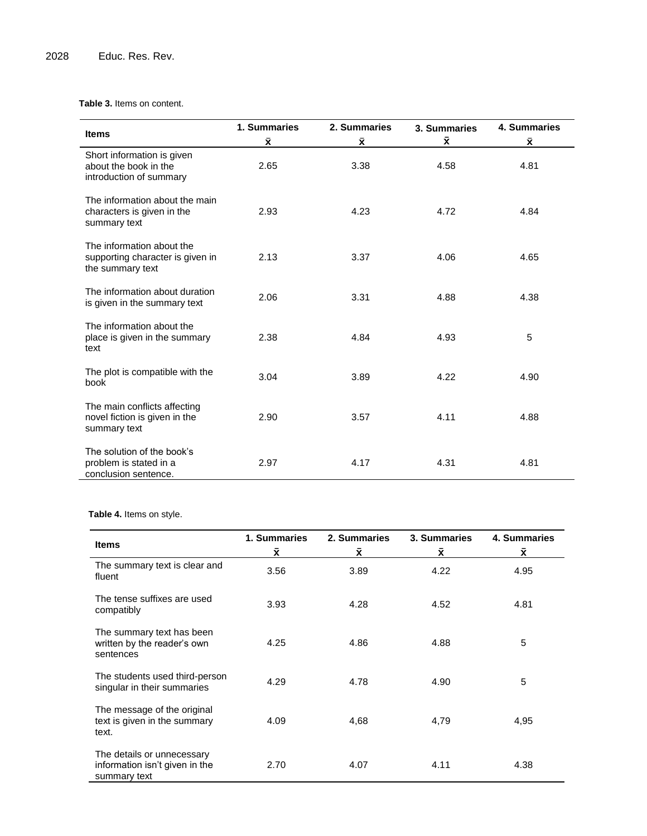# **Table 3.** Items on content.

|                                                                                   | 1. Summaries | 2. Summaries | 3. Summaries | 4. Summaries       |
|-----------------------------------------------------------------------------------|--------------|--------------|--------------|--------------------|
| <b>Items</b>                                                                      | Χ.           | x            | $\bar{x}$    | $\bar{\mathbf{x}}$ |
| Short information is given<br>about the book in the<br>introduction of summary    | 2.65         | 3.38         | 4.58         | 4.81               |
| The information about the main<br>characters is given in the<br>summary text      | 2.93         | 4.23         | 4.72         | 4.84               |
| The information about the<br>supporting character is given in<br>the summary text | 2.13         | 3.37         | 4.06         | 4.65               |
| The information about duration<br>is given in the summary text                    | 2.06         | 3.31         | 4.88         | 4.38               |
| The information about the<br>place is given in the summary<br>text                | 2.38         | 4.84         | 4.93         | 5                  |
| The plot is compatible with the<br>book                                           | 3.04         | 3.89         | 4.22         | 4.90               |
| The main conflicts affecting<br>novel fiction is given in the<br>summary text     | 2.90         | 3.57         | 4.11         | 4.88               |
| The solution of the book's<br>problem is stated in a<br>conclusion sentence.      | 2.97         | 4.17         | 4.31         | 4.81               |

**Table 4.** Items on style.

| <b>Items</b>                                                                 | 1. Summaries<br>Χ. | 2. Summaries<br>Χ. | 3. Summaries<br>Χ. | 4. Summaries<br>Χ. |
|------------------------------------------------------------------------------|--------------------|--------------------|--------------------|--------------------|
| The summary text is clear and<br>fluent                                      | 3.56               | 3.89               | 4.22               | 4.95               |
| The tense suffixes are used<br>compatibly                                    | 3.93               | 4.28               | 4.52               | 4.81               |
| The summary text has been<br>written by the reader's own<br>sentences        | 4.25               | 4.86               | 4.88               | 5                  |
| The students used third-person<br>singular in their summaries                | 4.29               | 4.78               | 4.90               | 5                  |
| The message of the original<br>text is given in the summary<br>text.         | 4.09               | 4,68               | 4,79               | 4,95               |
| The details or unnecessary<br>information isn't given in the<br>summary text | 2.70               | 4.07               | 4.11               | 4.38               |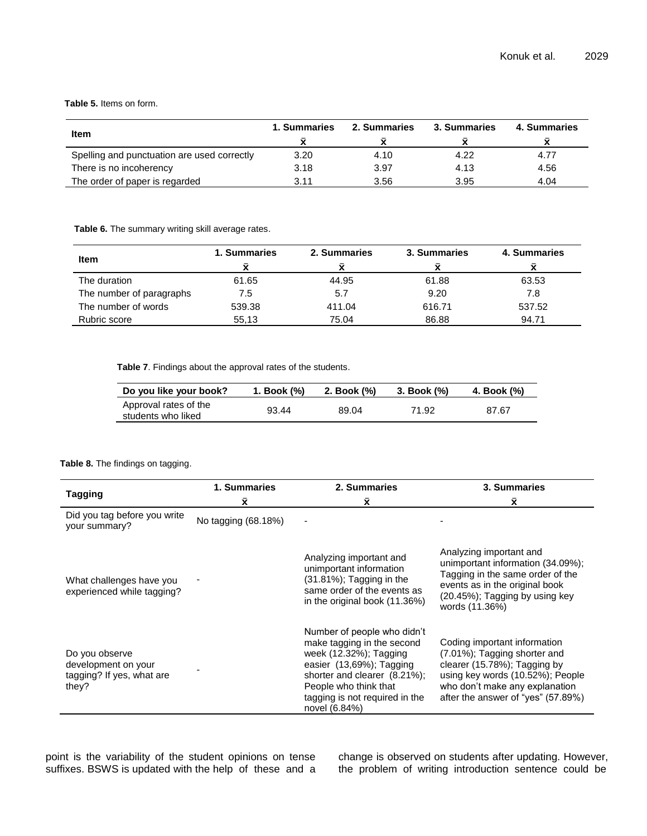# **Table 5.** Items on form.

| <b>Item</b>                                 | <b>1. Summaries</b> | 2. Summaries | 3. Summaries | 4. Summaries |
|---------------------------------------------|---------------------|--------------|--------------|--------------|
| Spelling and punctuation are used correctly | 3.20                | 4.10         | 4.22         | 4.77         |
| There is no incoherency                     | 3.18                | 3.97         | 4.13         | 4.56         |
| The order of paper is regarded              | 3.11                | 3.56         | 3.95         | 4.04         |

**Table 6.** The summary writing skill average rates.

| <b>Item</b>              | 1. Summaries<br>v | 2. Summaries | 3. Summaries | 4. Summaries |
|--------------------------|-------------------|--------------|--------------|--------------|
| The duration             | 61.65             | 44.95        | 61.88        | 63.53        |
| The number of paragraphs | 7.5               | 5.7          | 9.20         | 7.8          |
| The number of words      | 539.38            | 411.04       | 616.71       | 537.52       |
| Rubric score             | 55.13             | 75.04        | 86.88        | 94.71        |

**Table 7**. Findings about the approval rates of the students.

| Do you like your book?                      | 1. Book (%) | 2. Book (%) | 3. Book (%) | 4. Book (%) |
|---------------------------------------------|-------------|-------------|-------------|-------------|
| Approval rates of the<br>students who liked | 93.44       | 89.04       | 71.92       | 87.67       |

# **Table 8.** The findings on tagging.

|                                                                             | 1. Summaries        | 2. Summaries                                                                                                                                                                                                                | <b>3. Summaries</b>                                                                                                                                                                                      |
|-----------------------------------------------------------------------------|---------------------|-----------------------------------------------------------------------------------------------------------------------------------------------------------------------------------------------------------------------------|----------------------------------------------------------------------------------------------------------------------------------------------------------------------------------------------------------|
| <b>Tagging</b>                                                              | Χī                  | Χ.                                                                                                                                                                                                                          | Χī                                                                                                                                                                                                       |
| Did you tag before you write<br>your summary?                               | No tagging (68.18%) |                                                                                                                                                                                                                             |                                                                                                                                                                                                          |
| What challenges have you<br>experienced while tagging?                      |                     | Analyzing important and<br>unimportant information<br>$(31.81\%)$ ; Tagging in the<br>same order of the events as<br>in the original book (11.36%)                                                                          | Analyzing important and<br>unimportant information (34.09%);<br>Tagging in the same order of the<br>events as in the original book<br>(20.45%); Tagging by using key<br>words (11.36%)                   |
| Do you observe<br>development on your<br>tagging? If yes, what are<br>they? |                     | Number of people who didn't<br>make tagging in the second<br>week (12.32%); Tagging<br>easier (13,69%); Tagging<br>shorter and clearer (8.21%);<br>People who think that<br>tagging is not required in the<br>novel (6.84%) | Coding important information<br>(7.01%); Tagging shorter and<br>clearer (15.78%); Tagging by<br>using key words (10.52%); People<br>who don't make any explanation<br>after the answer of "yes" (57.89%) |

point is the variability of the student opinions on tense suffixes. BSWS is updated with the help of these and a

change is observed on students after updating. However, the problem of writing introduction sentence could be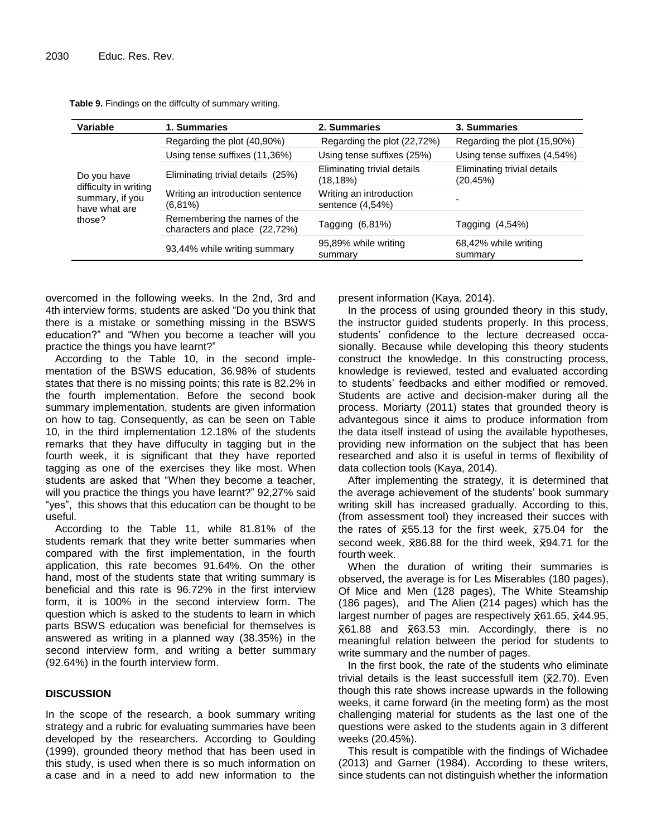| Variable                                                            | 1. Summaries                                                  | 2. Summaries                                | 3. Summaries                            |
|---------------------------------------------------------------------|---------------------------------------------------------------|---------------------------------------------|-----------------------------------------|
|                                                                     | Regarding the plot (40,90%)                                   | Regarding the plot (22,72%)                 | Regarding the plot (15,90%)             |
|                                                                     | Using tense suffixes (11,36%)                                 | Using tense suffixes (25%)                  | Using tense suffixes (4,54%)            |
| Do you have                                                         | Eliminating trivial details (25%)                             | Eliminating trivial details<br>(18, 18%)    | Eliminating trivial details<br>(20,45%) |
| difficulty in writing<br>summary, if you<br>have what are<br>those? | Writing an introduction sentence<br>$(6,81\%)$                | Writing an introduction<br>sentence (4,54%) |                                         |
|                                                                     | Remembering the names of the<br>characters and place (22,72%) | Tagging $(6,81%)$                           | Tagging (4,54%)                         |
|                                                                     | 93,44% while writing summary                                  | 95,89% while writing<br>summary             | 68,42% while writing<br>summary         |

**Table 9.** Findings on the diffculty of summary writing.

overcomed in the following weeks. In the 2nd, 3rd and 4th interview forms, students are asked "Do you think that there is a mistake or something missing in the BSWS education?" and "When you become a teacher will you practice the things you have learnt?"

According to the Table 10, in the second implementation of the BSWS education, 36.98% of students states that there is no missing points; this rate is 82.2% in the fourth implementation. Before the second book summary implementation, students are given information on how to tag. Consequently, as can be seen on Table 10, in the third implementation 12.18% of the students remarks that they have diffuculty in tagging but in the fourth week, it is significant that they have reported tagging as one of the exercises they like most. When students are asked that "When they become a teacher, will you practice the things you have learnt?" 92,27% said "yes", this shows that this education can be thought to be useful.

According to the Table 11, while 81.81% of the students remark that they write better summaries when compared with the first implementation, in the fourth application, this rate becomes 91.64%. On the other hand, most of the students state that writing summary is beneficial and this rate is 96.72% in the first interview form, it is 100% in the second interview form. The question which is asked to the students to learn in which parts BSWS education was beneficial for themselves is answered as writing in a planned way (38.35%) in the second interview form, and writing a better summary (92.64%) in the fourth interview form.

# **DISCUSSION**

In the scope of the research, a book summary writing strategy and a rubric for evaluating summaries have been developed by the researchers. According to Goulding (1999), grounded theory method that has been used in this study, is used when there is so much information on a case and in a need to add new information to the present information (Kaya, 2014).

In the process of using grounded theory in this study, the instructor guided students properly. In this process, students" confidence to the lecture decreased occasionally. Because while developing this theory students construct the knowledge. In this constructing process, knowledge is reviewed, tested and evaluated according to students" feedbacks and either modified or removed. Students are active and decision-maker during all the process. Moriarty (2011) states that grounded theory is advantegous since it aims to produce information from the data itself instead of using the available hypotheses, providing new information on the subject that has been researched and also it is useful in terms of flexibility of data collection tools (Kaya, 2014).

After implementing the strategy, it is determined that the average achievement of the students' book summary writing skill has increased gradually. According to this, (from assessment tool) they increased their succes with the rates of  $\overline{x}$ 55.13 for the first week,  $\overline{x}$ 75.04 for the second week,  $\bar{x}86.88$  for the third week,  $\bar{x}94.71$  for the fourth week.

When the duration of writing their summaries is observed, the average is for Les Miserables (180 pages), Of Mice and Men (128 pages), The White Steamship (186 pages), and The Alien (214 pages) which has the largest number of pages are respectively  $\bar{x}61.65$ ,  $\bar{x}44.95$ ,  $\overline{x}$ 61.88 and  $\overline{x}$ 63.53 min. Accordingly, there is no meaningful relation between the period for students to write summary and the number of pages.

In the first book, the rate of the students who eliminate trivial details is the least successfull item  $(\bar{x}2.70)$ . Even though this rate shows increase upwards in the following weeks, it came forward (in the meeting form) as the most challenging material for students as the last one of the questions were asked to the students again in 3 different weeks (20.45%).

This result is compatible with the findings of Wichadee (2013) and Garner (1984). According to these writers, since students can not distinguish whether the information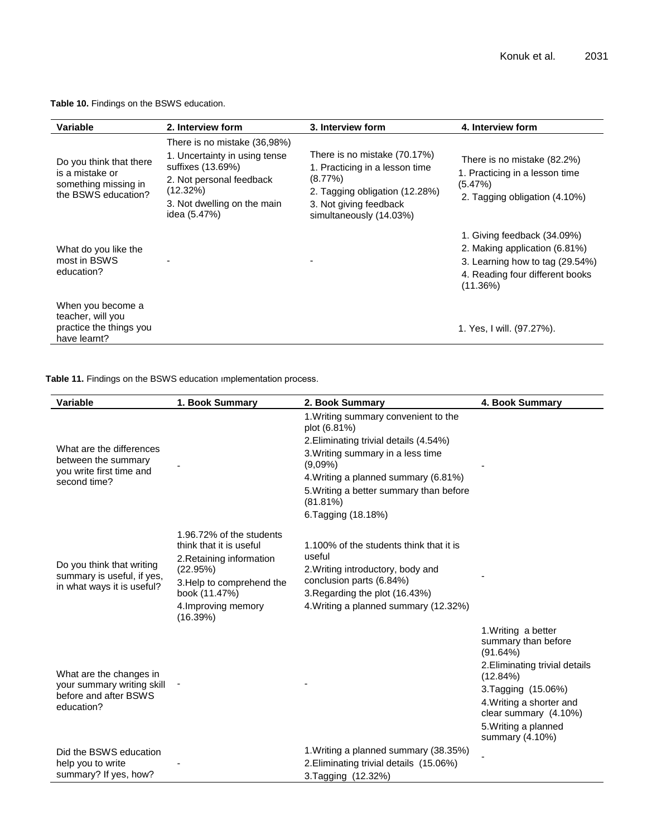**Table 10.** Findings on the BSWS education.

| <b>Variable</b>                                                                           | 2. Interview form                                                                                                                                                         | 3. Interview form                                                                                                                                                   | 4. Interview form                                                                                                                                 |
|-------------------------------------------------------------------------------------------|---------------------------------------------------------------------------------------------------------------------------------------------------------------------------|---------------------------------------------------------------------------------------------------------------------------------------------------------------------|---------------------------------------------------------------------------------------------------------------------------------------------------|
| Do you think that there<br>is a mistake or<br>something missing in<br>the BSWS education? | There is no mistake (36,98%)<br>1. Uncertainty in using tense<br>suffixes (13.69%)<br>2. Not personal feedback<br>(12.32%)<br>3. Not dwelling on the main<br>idea (5.47%) | There is no mistake (70.17%)<br>1. Practicing in a lesson time<br>$(8.77\%)$<br>2. Tagging obligation (12.28%)<br>3. Not giving feedback<br>simultaneously (14.03%) | There is no mistake (82.2%)<br>1. Practicing in a lesson time<br>(5.47%)<br>2. Tagging obligation (4.10%)                                         |
| What do you like the<br>most in BSWS<br>education?                                        |                                                                                                                                                                           |                                                                                                                                                                     | 1. Giving feedback (34.09%)<br>2. Making application (6.81%)<br>3. Learning how to tag (29.54%)<br>4. Reading four different books<br>$(11.36\%)$ |
| When you become a<br>teacher, will you<br>practice the things you<br>have learnt?         |                                                                                                                                                                           |                                                                                                                                                                     | 1. Yes, I will. (97.27%).                                                                                                                         |

**Table 11.** Findings on the BSWS education ımplementation process.

| <b>Variable</b>                                 | 1. Book Summary                      | 2. Book Summary                                        | 4. Book Summary                                        |
|-------------------------------------------------|--------------------------------------|--------------------------------------------------------|--------------------------------------------------------|
|                                                 |                                      | 1. Writing summary convenient to the<br>plot (6.81%)   |                                                        |
|                                                 |                                      | 2. Eliminating trivial details (4.54%)                 |                                                        |
| What are the differences<br>between the summary |                                      | 3. Writing summary in a less time<br>$(9,09\%)$        |                                                        |
| you write first time and<br>second time?        |                                      | 4. Writing a planned summary (6.81%)                   |                                                        |
|                                                 |                                      | 5. Writing a better summary than before<br>$(81.81\%)$ |                                                        |
|                                                 |                                      | 6. Tagging (18.18%)                                    |                                                        |
|                                                 | 1.96.72% of the students             |                                                        |                                                        |
|                                                 | think that it is useful              | 1.100% of the students think that it is<br>useful      |                                                        |
| Do you think that writing                       | 2. Retaining information<br>(22.95%) | 2. Writing introductory, body and                      |                                                        |
| summary is useful, if yes,                      | 3. Help to comprehend the            | conclusion parts (6.84%)                               |                                                        |
| in what ways it is useful?                      | book (11.47%)                        | 3. Regarding the plot (16.43%)                         |                                                        |
|                                                 | 4. Improving memory<br>(16.39%)      | 4. Writing a planned summary (12.32%)                  |                                                        |
|                                                 |                                      |                                                        | 1. Writing a better<br>summary than before<br>(91.64%) |
| What are the changes in                         |                                      |                                                        | 2. Eliminating trivial details<br>(12.84%)             |
| your summary writing skill                      |                                      |                                                        | 3. Tagging (15.06%)                                    |
| before and after BSWS<br>education?             |                                      |                                                        | 4. Writing a shorter and<br>clear summary (4.10%)      |
|                                                 |                                      |                                                        | 5. Writing a planned<br>summary (4.10%)                |
| Did the BSWS education                          |                                      | 1. Writing a planned summary (38.35%)                  |                                                        |
| help you to write                               |                                      | 2. Eliminating trivial details (15.06%)                |                                                        |
| summary? If yes, how?                           |                                      | 3. Tagging (12.32%)                                    |                                                        |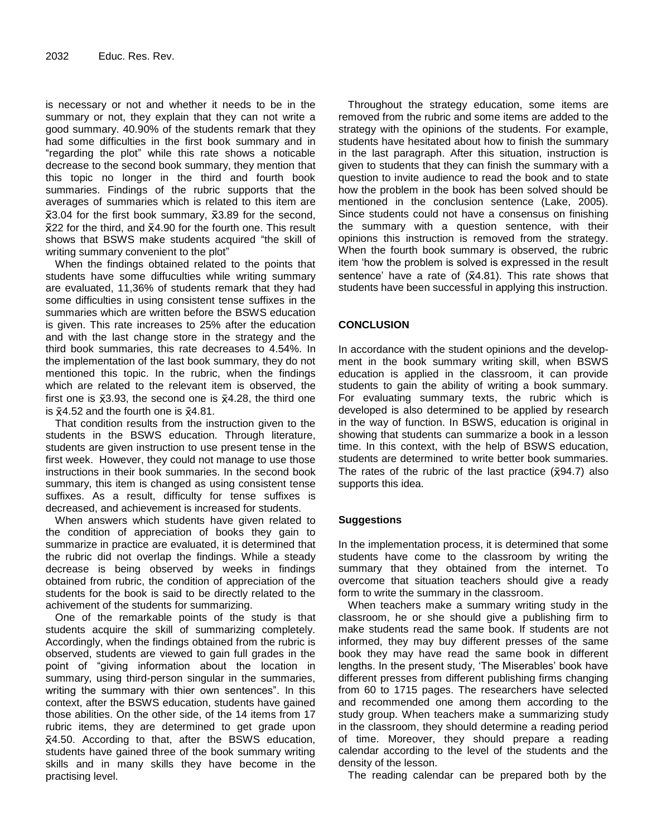is necessary or not and whether it needs to be in the summary or not, they explain that they can not write a good summary. 40.90% of the students remark that they had some difficulties in the first book summary and in "regarding the plot" while this rate shows a noticable decrease to the second book summary, they mention that this topic no longer in the third and fourth book summaries. Findings of the rubric supports that the averages of summaries which is related to this item are  $\overline{x}3.04$  for the first book summary,  $\overline{x}3.89$  for the second,  $\bar{x}$ 22 for the third, and  $\bar{x}$ 4.90 for the fourth one. This result shows that BSWS make students acquired "the skill of writing summary convenient to the plot"

When the findings obtained related to the points that students have some diffuculties while writing summary are evaluated, 11,36% of students remark that they had some difficulties in using consistent tense suffixes in the summaries which are written before the BSWS education is given. This rate increases to 25% after the education and with the last change store in the strategy and the third book summaries, this rate decreases to 4.54%. In the implementation of the last book summary, they do not mentioned this topic. In the rubric, when the findings which are related to the relevant item is observed, the first one is  $\bar{x}$ 3.93, the second one is  $\bar{x}$ 4.28, the third one is  $\bar{x}$ 4.52 and the fourth one is  $\bar{x}$ 4.81.

That condition results from the instruction given to the students in the BSWS education. Through literature, students are given instruction to use present tense in the first week. However, they could not manage to use those instructions in their book summaries. In the second book summary, this item is changed as using consistent tense suffixes. As a result, difficulty for tense suffixes is decreased, and achievement is increased for students.

When answers which students have given related to the condition of appreciation of books they gain to summarize in practice are evaluated, it is determined that the rubric did not overlap the findings. While a steady decrease is being observed by weeks in findings obtained from rubric, the condition of appreciation of the students for the book is said to be directly related to the achivement of the students for summarizing.

One of the remarkable points of the study is that students acquire the skill of summarizing completely. Accordingly, when the findings obtained from the rubric is observed, students are viewed to gain full grades in the point of "giving information about the location in summary, using third-person singular in the summaries, writing the summary with thier own sentences". In this context, after the BSWS education, students have gained those abilities. On the other side, of the 14 items from 17 rubric items, they are determined to get grade upon  $\bar{x}$ 4.50. According to that, after the BSWS education, students have gained three of the book summary writing skills and in many skills they have become in the practising level.

Throughout the strategy education, some items are removed from the rubric and some items are added to the strategy with the opinions of the students. For example, students have hesitated about how to finish the summary in the last paragraph. After this situation, instruction is given to students that they can finish the summary with a question to invite audience to read the book and to state how the problem in the book has been solved should be mentioned in the conclusion sentence (Lake, 2005). Since students could not have a consensus on finishing the summary with a question sentence, with their opinions this instruction is removed from the strategy. When the fourth book summary is observed, the rubric item "how the problem is solved is expressed in the result sentence' have a rate of  $({\overline{x}}4.81)$ . This rate shows that students have been successful in applying this instruction.

# **CONCLUSION**

In accordance with the student opinions and the development in the book summary writing skill, when BSWS education is applied in the classroom, it can provide students to gain the ability of writing a book summary. For evaluating summary texts, the rubric which is developed is also determined to be applied by research in the way of function. In BSWS, education is original in showing that students can summarize a book in a lesson time. In this context, with the help of BSWS education, students are determined to write better book summaries. The rates of the rubric of the last practice  $(\bar{x}94.7)$  also supports this idea.

# **Suggestions**

In the implementation process, it is determined that some students have come to the classroom by writing the summary that they obtained from the internet. To overcome that situation teachers should give a ready form to write the summary in the classroom.

When teachers make a summary writing study in the classroom, he or she should give a publishing firm to make students read the same book. If students are not informed, they may buy different presses of the same book they may have read the same book in different lengths. In the present study, "The Miserables" book have different presses from different publishing firms changing from 60 to 1715 pages. The researchers have selected and recommended one among them according to the study group. When teachers make a summarizing study in the classroom, they should determine a reading period of time. Moreover, they should prepare a reading calendar according to the level of the students and the density of the lesson.

The reading calendar can be prepared both by the